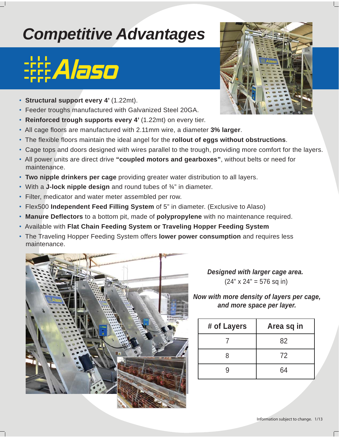## *Competitive Advantages*

## **:Alaso**

- **Structural support every 4'** (1.22mt).
- Feeder troughs manufactured with Galvanized Steel 20GA.
- **Reinforced trough supports every 4'** (1.22mt) on every tier.
- All cage floors are manufactured with 2.11mm wire, a diameter **3% larger**.
- The flexible floors maintain the ideal angel for the **rollout of eggs without obstructions**.
- Cage tops and doors designed with wires parallel to the trough, providing more comfort for the layers.
- All power units are direct drive **"coupled motors and gearboxes"**, without belts or need for maintenance.
- **Two nipple drinkers per cage** providing greater water distribution to all layers.
- With a **J-lock nipple design** and round tubes of ¾" in diameter.
- Filter, medicator and water meter assembled per row.
- Flex500 **Independent Feed Filling System** of 5" in diameter. (Exclusive to Alaso)
- **Manure Deflectors** to a bottom pit, made of **polypropylene** with no maintenance required.
- Available with **Flat Chain Feeding System or Traveling Hopper Feeding System**
- The Traveling Hopper Feeding System offers **lower power consumption** and requires less maintenance.



*Designed with larger cage area.*  $(24" \times 24" = 576$  sq in)

## *Now with more density of layers per cage, and more space per layer.*

| # of Layers | Area sq in |
|-------------|------------|
|             | 82         |
| 8           | 72         |
|             | 64         |